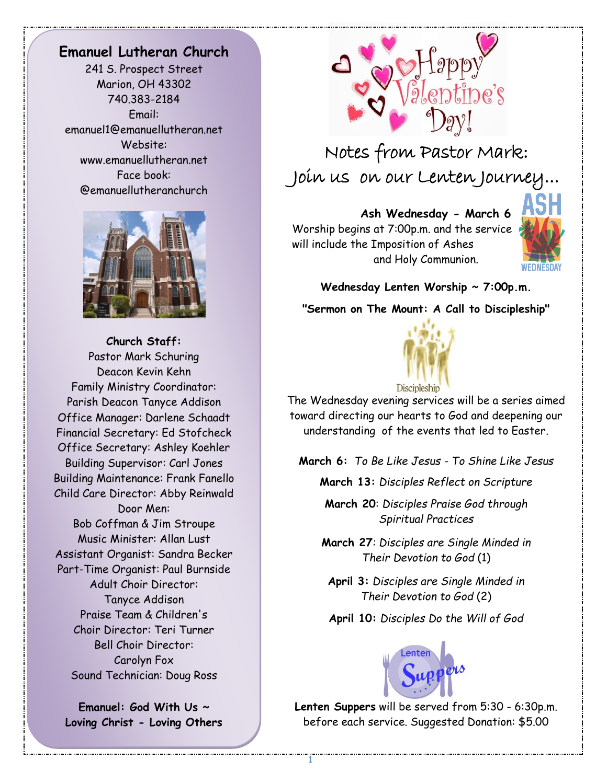## **Emanuel Lutheran Church**

241 S. Prospect Street Marion, OH 43302 740.383-2184 Email: emanuel1@emanuellutheran.net Website: www.emanuellutheran.net Face book: @emanuellutheranchurch



**Church Staff:** Pastor Mark Schuring Deacon Kevin Kehn Family Ministry Coordinator: Parish Deacon Tanyce Addison Office Manager: Darlene Schaadt Financial Secretary: Ed Stofcheck Office Secretary: Ashley Koehler Building Supervisor: Carl Jones Building Maintenance: Frank Fanello Child Care Director: Abby Reinwald Door Men: Bob Coffman & Jim Stroupe Music Minister: Allan Lust Assistant Organist: Sandra Becker Part-Time Organist: Paul Burnside Adult Choir Director: Tanyce Addison Praise Team & Children's Choir Director: Teri Turner Bell Choir Director: Carolyn Fox Sound Technician: Doug Ross

**Emanuel: God With Us ~ Loving Christ - Loving Others**



Notes from Pastor Mark: Join us on our Lenten Journey...

**Ash Wednesday - March 6**  Worship begins at 7:00p.m. and the service will include the Imposition of Ashes and Holy Communion.



 $\frac{1}{2}$ 

**Wednesday Lenten Worship ~ 7:00p.m.**

**"Sermon on The Mount: A Call to Discipleship"**



The Wednesday evening services will be a series aimed toward directing our hearts to God and deepening our understanding of the events that led to Easter.

**March 6:** *To Be Like Jesus - To Shine Like Jesus*

**March 13:** *Disciples Reflect on Scripture*

**March 20**: *Disciples Praise God through Spiritual Practices*

**March 27***: Disciples are Single Minded in Their Devotion to God* (1)

**April 3:** *Disciples are Single Minded in Their Devotion to God* (2)

**April 10:** *Disciples Do the Will of God*



**Lenten Suppers** will be served from 5:30 - 6:30p.m. before each service. Suggested Donation: \$5.00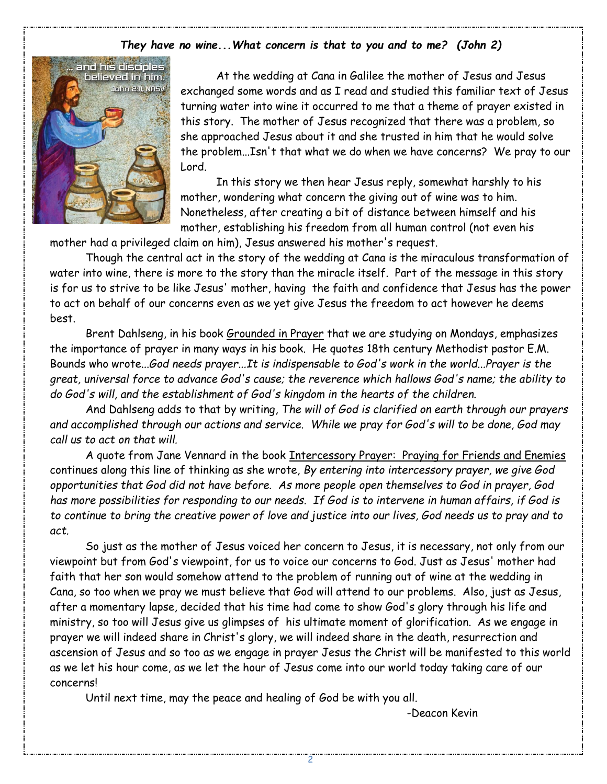### *They have no wine...What concern is that to you and to me? (John 2)*



At the wedding at Cana in Galilee the mother of Jesus and Jesus exchanged some words and as I read and studied this familiar text of Jesus turning water into wine it occurred to me that a theme of prayer existed in this story. The mother of Jesus recognized that there was a problem, so she approached Jesus about it and she trusted in him that he would solve the problem...Isn't that what we do when we have concerns? We pray to our Lord.

In this story we then hear Jesus reply, somewhat harshly to his mother, wondering what concern the giving out of wine was to him. Nonetheless, after creating a bit of distance between himself and his mother, establishing his freedom from all human control (not even his

mother had a privileged claim on him), Jesus answered his mother's request.

Though the central act in the story of the wedding at Cana is the miraculous transformation of water into wine, there is more to the story than the miracle itself. Part of the message in this story is for us to strive to be like Jesus' mother, having the faith and confidence that Jesus has the power to act on behalf of our concerns even as we yet give Jesus the freedom to act however he deems best.

Brent Dahlseng, in his book Grounded in Prayer that we are studying on Mondays, emphasizes the importance of prayer in many ways in his book. He quotes 18th century Methodist pastor E.M. Bounds who wrote...*God needs prayer...It is indispensable to God's work in the world...Prayer is the great, universal force to advance God's cause; the reverence which hallows God's name; the ability to do God's will, and the establishment of God's kingdom in the hearts of the children.*

And Dahlseng adds to that by writing, *The will of God is clarified on earth through our prayers and accomplished through our actions and service. While we pray for God's will to be done, God may call us to act on that will.*

A quote from Jane Vennard in the book Intercessory Prayer: Praying for Friends and Enemies continues along this line of thinking as she wrote, *By entering into intercessory prayer, we give God opportunities that God did not have before. As more people open themselves to God in prayer, God has more possibilities for responding to our needs. If God is to intervene in human affairs, if God is to continue to bring the creative power of love and justice into our lives, God needs us to pray and to act.*

So just as the mother of Jesus voiced her concern to Jesus, it is necessary, not only from our viewpoint but from God's viewpoint, for us to voice our concerns to God. Just as Jesus' mother had faith that her son would somehow attend to the problem of running out of wine at the wedding in Cana, so too when we pray we must believe that God will attend to our problems. Also, just as Jesus, after a momentary lapse, decided that his time had come to show God's glory through his life and ministry, so too will Jesus give us glimpses of his ultimate moment of glorification. As we engage in prayer we will indeed share in Christ's glory, we will indeed share in the death, resurrection and ascension of Jesus and so too as we engage in prayer Jesus the Christ will be manifested to this world as we let his hour come, as we let the hour of Jesus come into our world today taking care of our concerns!

Until next time, may the peace and healing of God be with you all.

-Deacon Kevin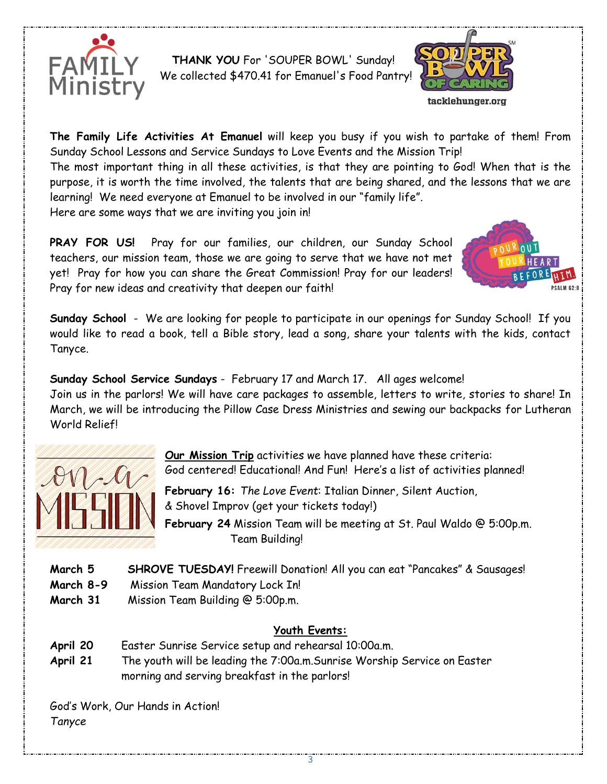

 **THANK YOU** For 'SOUPER BOWL' Sunday! We collected \$470.41 for Emanuel's Food Pantry!



**The Family Life Activities At Emanuel** will keep you busy if you wish to partake of them! From Sunday School Lessons and Service Sundays to Love Events and the Mission Trip!

The most important thing in all these activities, is that they are pointing to God! When that is the purpose, it is worth the time involved, the talents that are being shared, and the lessons that we are learning! We need everyone at Emanuel to be involved in our "family life".

Here are some ways that we are inviting you join in!

**PRAY FOR US!** Pray for our families, our children, our Sunday School teachers, our mission team, those we are going to serve that we have not met yet! Pray for how you can share the Great Commission! Pray for our leaders! Pray for new ideas and creativity that deepen our faith!



**Sunday School** - We are looking for people to participate in our openings for Sunday School! If you would like to read a book, tell a Bible story, lead a song, share your talents with the kids, contact Tanyce.

**Sunday School Service Sundays** - February 17 and March 17. All ages welcome! Join us in the parlors! We will have care packages to assemble, letters to write, stories to share! In March, we will be introducing the Pillow Case Dress Ministries and sewing our backpacks for Lutheran World Relief!



**Our Mission Trip** activities we have planned have these criteria: God centered! Educational! And Fun! Here's a list of activities planned!

**February 16:** *The Love Event*: Italian Dinner, Silent Auction, & Shovel Improv (get your tickets today!)

**February 24** Mission Team will be meeting at St. Paul Waldo @ 5:00p.m. Team Building!

- **March 5 SHROVE TUESDAY!** Freewill Donation! All you can eat "Pancakes" & Sausages!
- **March 8-9** Mission Team Mandatory Lock In!
- **March 31** Mission Team Building @ 5:00p.m.

## **Youth Events:**

- **April 20** Easter Sunrise Service setup and rehearsal 10:00a.m.
- **April 21** The youth will be leading the 7:00a.m.Sunrise Worship Service on Easter morning and serving breakfast in the parlors!

God's Work, Our Hands in Action! *Tanyce*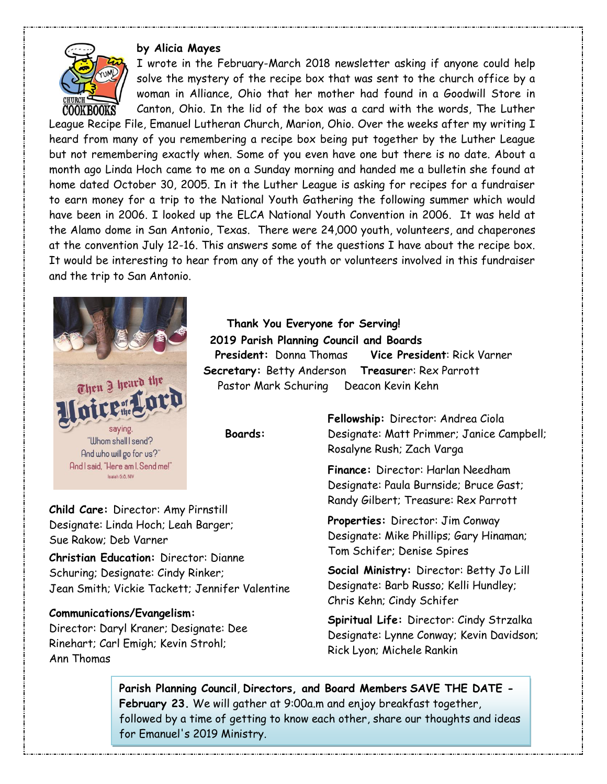## **by Alicia Mayes**



I wrote in the February-March 2018 newsletter asking if anyone could help solve the mystery of the recipe box that was sent to the church office by a woman in Alliance, Ohio that her mother had found in a Goodwill Store in Canton, Ohio. In the lid of the box was a card with the words, The Luther

League Recipe File, Emanuel Lutheran Church, Marion, Ohio. Over the weeks after my writing I heard from many of you remembering a recipe box being put together by the Luther League but not remembering exactly when. Some of you even have one but there is no date. About a month ago Linda Hoch came to me on a Sunday morning and handed me a bulletin she found at home dated October 30, 2005. In it the Luther League is asking for recipes for a fundraiser to earn money for a trip to the National Youth Gathering the following summer which would have been in 2006. I looked up the ELCA National Youth Convention in 2006. It was held at the Alamo dome in San Antonio, Texas. There were 24,000 youth, volunteers, and chaperones at the convention July 12-16. This answers some of the questions I have about the recipe box. It would be interesting to hear from any of the youth or volunteers involved in this fundraiser and the trip to San Antonio.



 **Thank You Everyone for Serving! 2019 Parish Planning Council and Boards President:** Donna Thomas **Vice President**: Rick Varner  **Secretary:** Betty Anderson **Treasurer:** Rex Parrott<br> **Rastor Mark Schuring** Deacon Kevin Kehn<br>
Pastor Mark Schuring Deacon Kevin Kehn Pastor Mark Schuring Deacon Kevin Kehn

 **Boards:**

**Child Care:** Director: Amy Pirnstill Designate: Linda Hoch; Leah Barger; Sue Rakow; Deb Varner

**Christian Education:** Director: Dianne Schuring; Designate: Cindy Rinker; Jean Smith; Vickie Tackett; Jennifer Valentine

#### **Communications/Evangelism:**

Director: Daryl Kraner; Designate: Dee Rinehart; Carl Emigh; Kevin Strohl; Ann Thomas

**Fellowship:** Director: Andrea Ciola Designate: Matt Primmer; Janice Campbell; Rosalyne Rush; Zach Varga

**Finance:** Director: Harlan Needham Designate: Paula Burnside; Bruce Gast; Randy Gilbert; Treasure: Rex Parrott

**Properties:** Director: Jim Conway Designate: Mike Phillips; Gary Hinaman; Tom Schifer; Denise Spires

**Social Ministry:** Director: Betty Jo Lill Designate: Barb Russo; Kelli Hundley; Chris Kehn; Cindy Schifer

**Spiritual Life:** Director: Cindy Strzalka Designate: Lynne Conway; Kevin Davidson; Rick Lyon; Michele Rankin

**Parish Planning Council**, **Directors, and Board Members SAVE THE DATE - February 23.** We will gather at 9:00a.m and enjoy breakfast together, followed by a time of getting to know each other, share our thoughts and ideas for Emanuel's 2019 Ministry.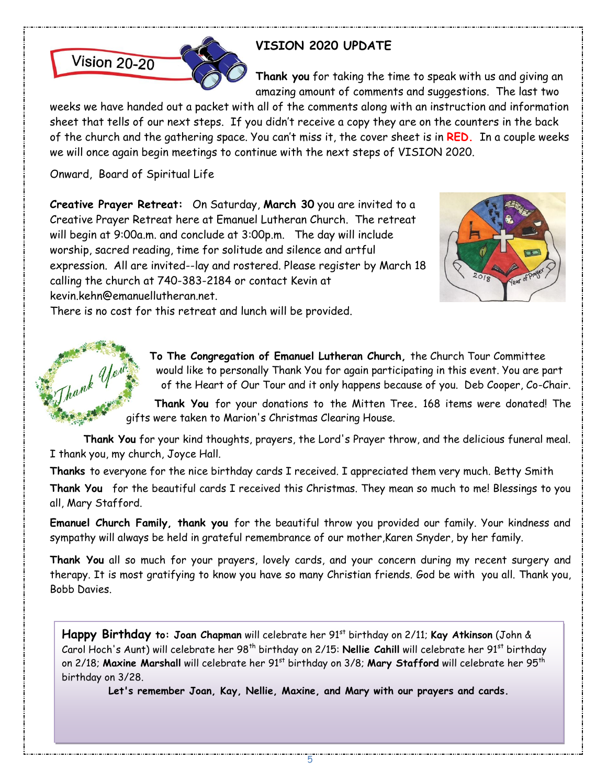

# **VISION 2020 UPDATE**

**Thank you** for taking the time to speak with us and giving an amazing amount of comments and suggestions. The last two

weeks we have handed out a packet with all of the comments along with an instruction and information sheet that tells of our next steps. If you didn't receive a copy they are on the counters in the back of the church and the gathering space. You can't miss it, the cover sheet is in **RED.** In a couple weeks we will once again begin meetings to continue with the next steps of VISION 2020.

Onward, Board of Spiritual Life

hank U

**Creative Prayer Retreat:** On Saturday, **March 30** you are invited to a Creative Prayer Retreat here at Emanuel Lutheran Church. The retreat will begin at 9:00a.m. and conclude at 3:00p.m. The day will include worship, sacred reading, time for solitude and silence and artful expression. All are invited--lay and rostered. Please register by March 18 calling the church at 740-383-2184 or contact Kevin at kevin.kehn@emanuellutheran.net.



There is no cost for this retreat and lunch will be provided.

**To The Congregation of Emanuel Lutheran Church,** the Church Tour Committee would like to personally Thank You for again participating in this event. You are part of the Heart of Our Tour and it only happens because of you. Deb Cooper, Co-Chair.

**Thank You** for your donations to the Mitten Tree**.** 168 items were donated! The gifts were taken to Marion's Christmas Clearing House.

**Thank You** for your kind thoughts, prayers, the Lord's Prayer throw, and the delicious funeral meal. I thank you, my church, Joyce Hall.

**Thanks** to everyone for the nice birthday cards I received. I appreciated them very much. Betty Smith **Thank You** for the beautiful cards I received this Christmas. They mean so much to me! Blessings to you all, Mary Stafford.

**Emanuel Church Family, thank you** for the beautiful throw you provided our family. Your kindness and sympathy will always be held in grateful remembrance of our mother,Karen Snyder, by her family.

**Thank You** all so much for your prayers, lovely cards, and your concern during my recent surgery and therapy. It is most gratifying to know you have so many Christian friends. God be with you all. Thank you, Bobb Davies.

Happy Birthday to: Joan Chapman will celebrate her 91<sup>st</sup> birthday on 2/11; Kay Atkinson (John & Carol Hoch's Aunt) will celebrate her 98<sup>th</sup> birthday on 2/15: **Nellie Cahill** will celebrate her 91<sup>st</sup> birthday on 2/18; Maxine Marshall will celebrate her 91<sup>st</sup> birthday on 3/8; Mary Stafford will celebrate her 95<sup>th</sup> birthday on 3/28.

**Let's remember Joan, Kay, Nellie, Maxine, and Mary with our prayers and cards.**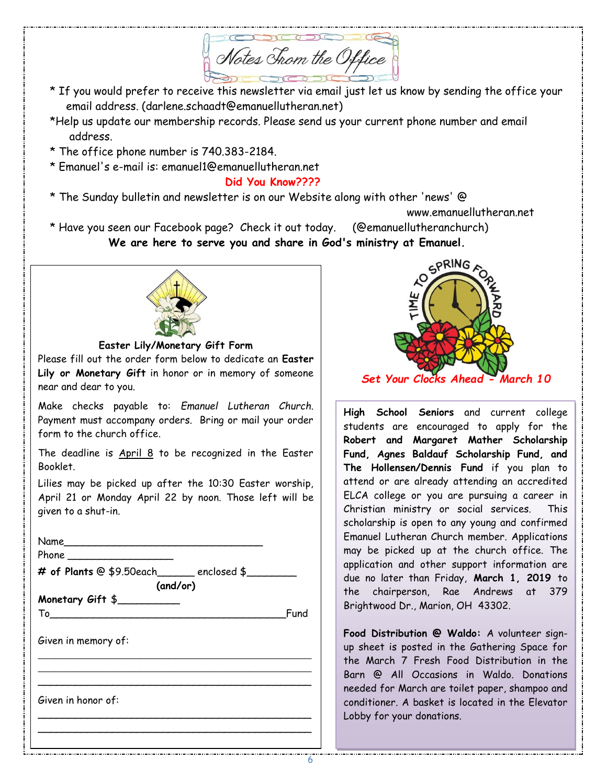Motes Chom the Office<br>\* If you would prefer to receive this newsletter via email just let us know by sending the office your

- email address. (darlene.schaadt@emanuellutheran.net)
- \*Help us update our membership records. Please send us your current phone number and email address.
- \* The office phone number is 740.383-2184.
- \* Emanuel's e-mail is: emanuel1@emanuellutheran.net

 **Did You Know????**

\* The Sunday bulletin and newsletter is on our Website along with other 'news' @

www.emanuellutheran.net

\* Have you seen our Facebook page? Check it out today. (@emanuellutheranchurch)

**We are here to serve you and share in God's ministry at Emanuel.**



**Easter Lily/Monetary Gift Form**

Please fill out the order form below to dedicate an **Easter Lily or Monetary Gift** in honor or in memory of someone near and dear to you.

Make checks payable to: *Emanuel Lutheran Church*. Payment must accompany orders. Bring or mail your order form to the church office.

The deadline is  $April 8$  to be recognized in the Easter Booklet.

Lilies may be picked up after the 10:30 Easter worship, April 21 or Monday April 22 by noon. Those left will be given to a shut-in.

 $Name$ 

Phone

**# of Plants** @ \$9.50each\_\_\_\_\_\_ enclosed \$\_\_\_\_\_\_\_\_ **(and/or)**

\_\_\_\_\_\_\_\_\_\_\_\_\_\_\_\_\_\_\_\_\_\_\_\_\_\_\_\_\_\_\_\_\_\_\_\_\_\_\_\_\_\_\_\_\_\_\_\_ \_\_\_\_\_\_\_\_\_\_\_\_\_\_\_\_\_\_\_\_\_\_\_\_\_\_\_\_\_\_\_\_\_\_\_\_\_\_\_\_\_\_\_\_\_\_\_\_ \_\_\_\_\_\_\_\_\_\_\_\_\_\_\_\_\_\_\_\_\_\_\_\_\_\_\_\_\_\_\_\_\_\_\_\_\_\_\_\_\_\_\_\_

\_\_\_\_\_\_\_\_\_\_\_\_\_\_\_\_\_\_\_\_\_\_\_\_\_\_\_\_\_\_\_\_\_\_\_\_\_\_\_\_\_\_\_\_ \_\_\_\_\_\_\_\_\_\_\_\_\_\_\_\_\_\_\_\_\_\_\_\_\_\_\_\_\_\_\_\_\_\_\_\_\_\_\_\_\_\_\_\_

**Monetary Gift** \$\_\_\_\_\_\_\_\_\_\_

To **The Community of the Community of Trunch** Fund

Given in memory of:

Given in honor of:



**High School Seniors** and current college students are encouraged to apply for the **Robert and Margaret Mather Scholarship Fund, Agnes Baldauf Scholarship Fund, and The Hollensen/Dennis Fund** if you plan to attend or are already attending an accredited ELCA college or you are pursuing a career in Christian ministry or social services. This scholarship is open to any young and confirmed Emanuel Lutheran Church member. Applications may be picked up at the church office. The application and other support information are due no later than Friday, **March 1, 2019** to the chairperson, Rae Andrews at 379 Brightwood Dr., Marion, OH 43302.

**Food Distribution @ Waldo:** A volunteer signup sheet is posted in the Gathering Space for the March 7 Fresh Food Distribution in the Barn @ All Occasions in Waldo. Donations needed for March are toilet paper, shampoo and conditioner. A basket is located in the Elevator Lobby for your donations.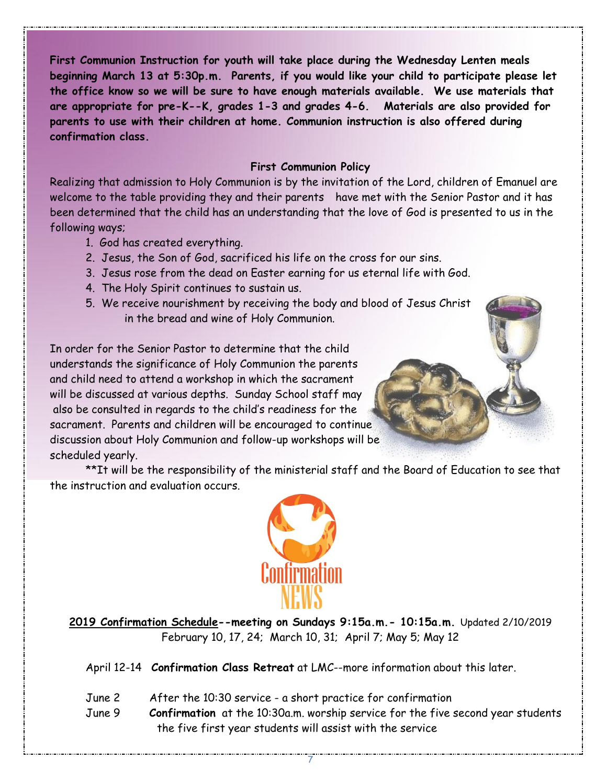**First Communion Instruction for youth will take place during the Wednesday Lenten meals beginning March 13 at 5:30p.m. Parents, if you would like your child to participate please let the office know so we will be sure to have enough materials available. We use materials that are appropriate for pre-K--K, grades 1-3 and grades 4-6. Materials are also provided for parents to use with their children at home. Communion instruction is also offered during confirmation class.**

## **First Communion Policy**

Realizing that admission to Holy Communion is by the invitation of the Lord, children of Emanuel are welcome to the table providing they and their parents have met with the Senior Pastor and it has been determined that the child has an understanding that the love of God is presented to us in the following ways;

- 1. God has created everything.
- 2. Jesus, the Son of God, sacrificed his life on the cross for our sins.
- 3. Jesus rose from the dead on Easter earning for us eternal life with God.
- 4. The Holy Spirit continues to sustain us.
- 5. We receive nourishment by receiving the body and blood of Jesus Christ in the bread and wine of Holy Communion.

In order for the Senior Pastor to determine that the child understands the significance of Holy Communion the parents and child need to attend a workshop in which the sacrament will be discussed at various depths. Sunday School staff may also be consulted in regards to the child's readiness for the sacrament. Parents and children will be encouraged to continue discussion about Holy Communion and follow-up workshops will be scheduled yearly.

\*\*It will be the responsibility of the ministerial staff and the Board of Education to see that the instruction and evaluation occurs.



**2019 Confirmation Schedule--meeting on Sundays 9:15a.m.- 10:15a.m.** Updated 2/10/2019 February 10, 17, 24; March 10, 31; April 7; May 5; May 12

April 12-14 **Confirmation Class Retreat** at LMC--more information about this later.

- June 2 After the 10:30 service a short practice for confirmation
- June 9 **Confirmation** at the 10:30a.m. worship service for the five second year students the five first year students will assist with the service